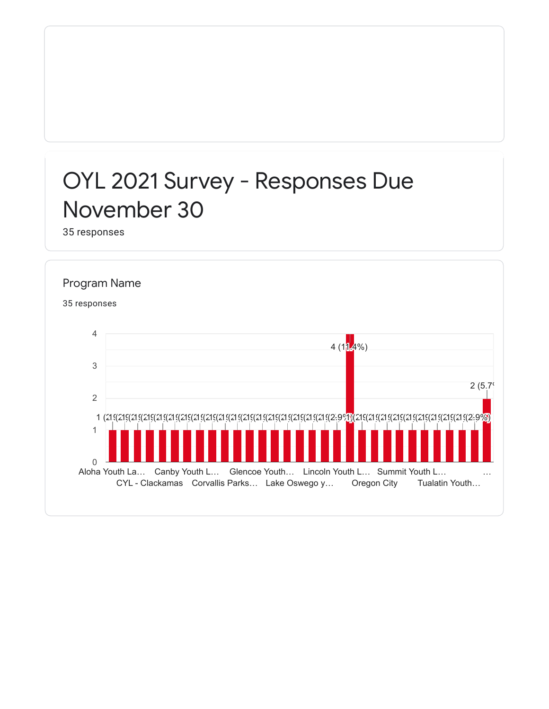## OYL 2021 Survey - Responses Due November 30

35 responses

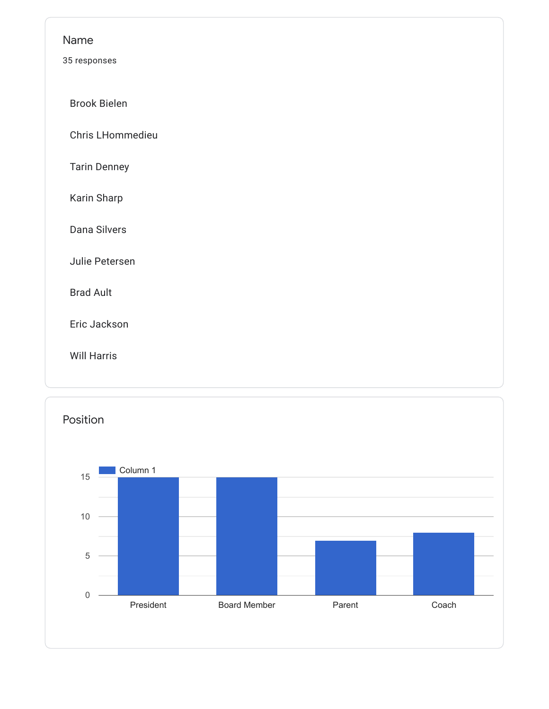| Name                |
|---------------------|
| 35 responses        |
| <b>Brook Bielen</b> |
| Chris LHommedieu    |
| <b>Tarin Denney</b> |
| Karin Sharp         |
| Dana Silvers        |
| Julie Petersen      |
| <b>Brad Ault</b>    |
| Eric Jackson        |
| <b>Will Harris</b>  |
|                     |

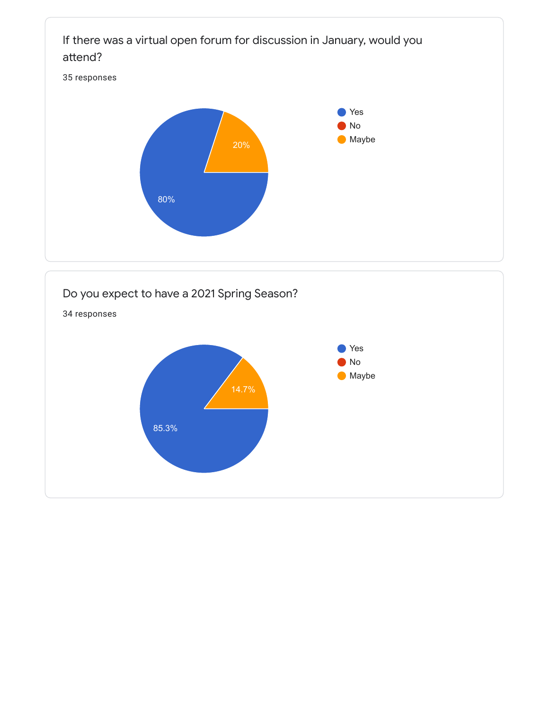

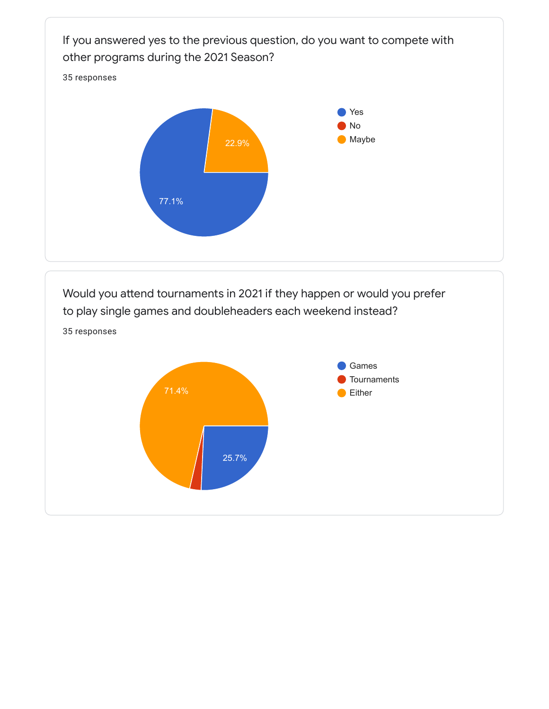

Would you attend tournaments in 2021 if they happen or would you prefer to play single games and doubleheaders each weekend instead?

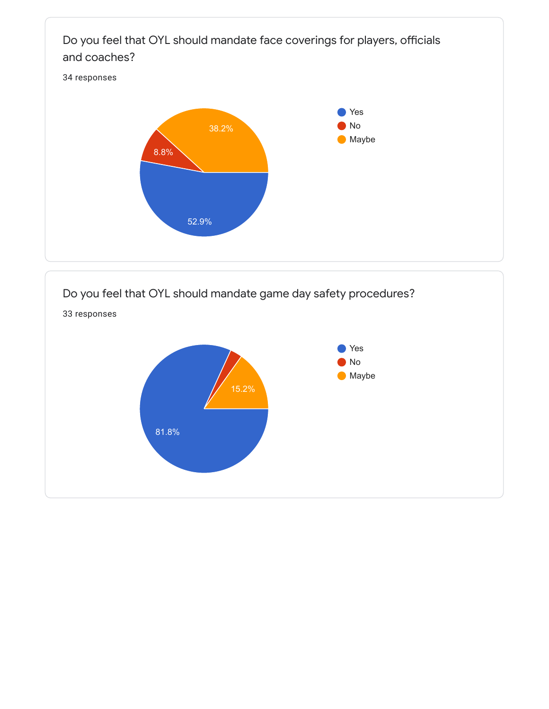

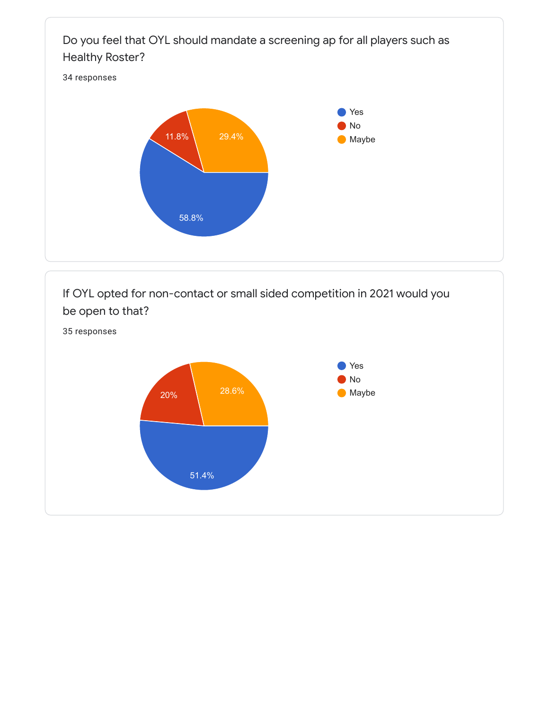

If OYL opted for non-contact or small sided competition in 2021 would you be open to that?

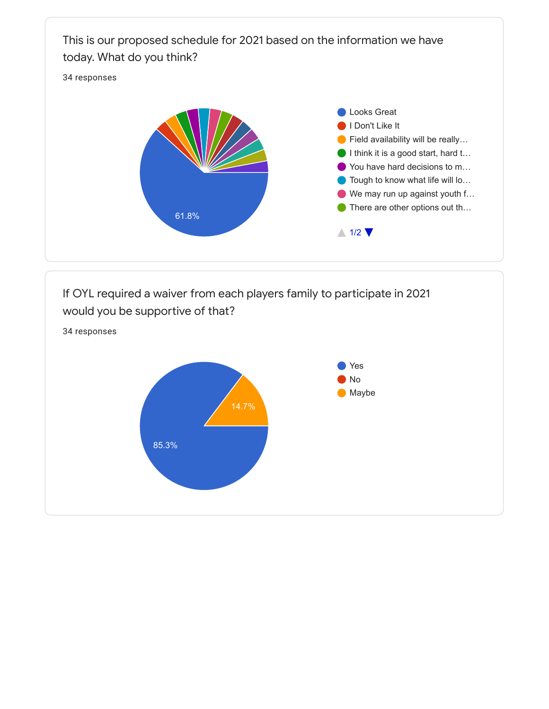## This is our proposed schedule for 2021 based on the information we have today. What do you think?

34 responses





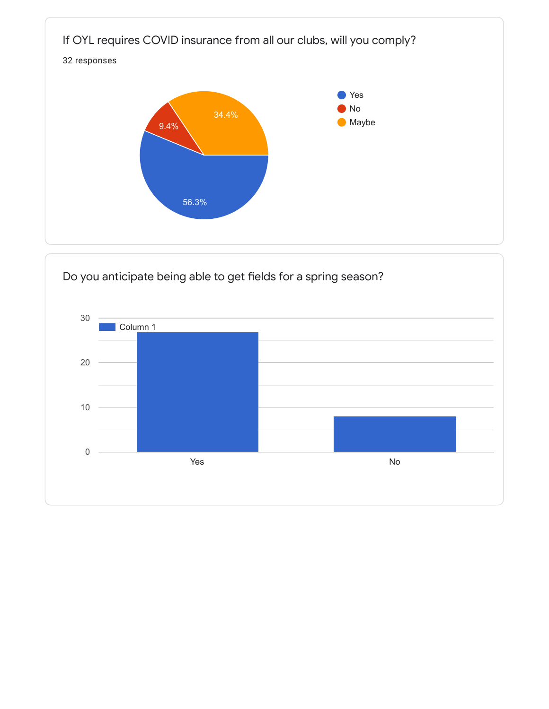

Do you anticipate being able to get fields for a spring season?

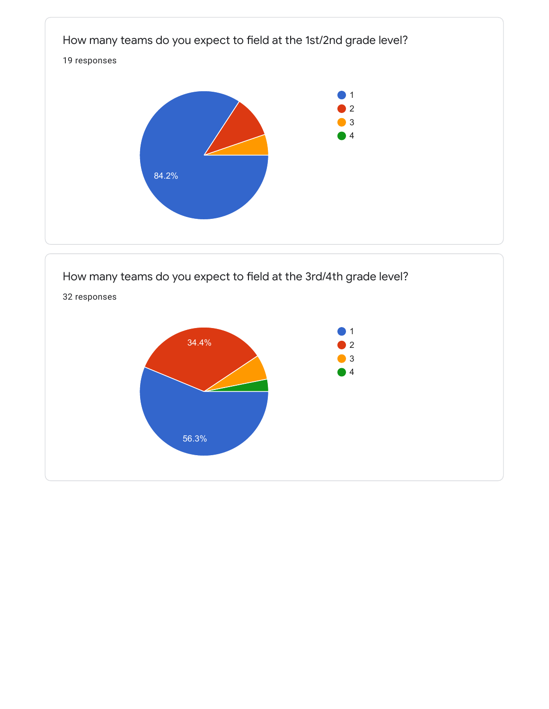

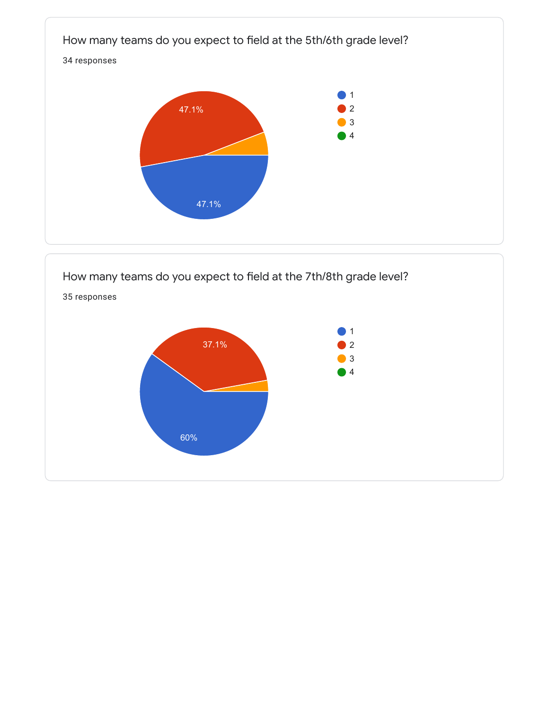

How many teams do you expect to field at the 7th/8th grade level?